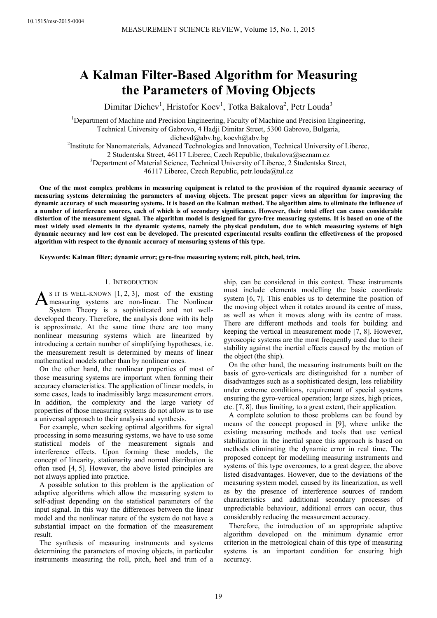# **A Kalman Filter-Based Algorithm for Measuring the Parameters of Moving Objects**

Dimitar Dichev<sup>1</sup>, Hristofor Koev<sup>1</sup>, Totka Bakalova<sup>2</sup>, Petr Louda<sup>3</sup>

<sup>1</sup>Department of Machine and Precision Engineering, Faculty of Machine and Precision Engineering, Technical University of Gabrovo, 4 Hadji Dimitar Street, 5300 Gabrovo, Bulgaria, dichevd@abv.bg, koevh@abv.bg

<sup>2</sup>Institute for Nanomaterials, Advanced Technologies and Innovation, Technical University of Liberec,

2 Studentska Street, 46117 Liberec, Czech Republic, tbakalova@seznam.cz

<sup>3</sup>Department of Material Science, Technical University of Liberec, 2 Studentska Street,

46117 Liberec, Czech Republic, petr.louda@tul.cz

**One of the most complex problems in measuring equipment is related to the provision of the required dynamic accuracy of measuring systems determining the parameters of moving objects. The present paper views an algorithm for improving the dynamic accuracy of such measuring systems. It is based on the Kalman method. The algorithm aims to eliminate the influence of a number of interference sources, each of which is of secondary significance. However, their total effect can cause considerable distortion of the measurement signal. The algorithm model is designed for gyro-free measuring systems. It is based on one of the most widely used elements in the dynamic systems, namely the physical pendulum, due to which measuring systems of high dynamic accuracy and low cost can be developed. The presented experimental results confirm the effectiveness of the proposed algorithm with respect to the dynamic accuracy of measuring systems of this type.** 

**Keywords: Kalman filter; dynamic error; gyro-free measuring system; roll, pitch, heel, trim.** 

# 1. INTRODUCTION

S IT IS WELL-KNOWN  $[1, 2, 3]$ , most of the existing  $\mathbf{A}$ <sup>S</sup> IT IS WELL-KNOWN [1, 2, 3], most of the existing<br>measuring systems are non-linear. The Nonlinear<br>System Theory is a conhisticated and not well. System Theory is a sophisticated and not welldeveloped theory. Therefore, the analysis done with its help is approximate. At the same time there are too many nonlinear measuring systems which are linearized by introducing a certain number of simplifying hypotheses, i.e. the measurement result is determined by means of linear mathematical models rather than by nonlinear ones.

On the other hand, the nonlinear properties of most of those measuring systems are important when forming their accuracy characteristics. The application of linear models, in some cases, leads to inadmissibly large measurement errors. In addition, the complexity and the large variety of properties of those measuring systems do not allow us to use a universal approach to their analysis and synthesis.

For example, when seeking optimal algorithms for signal processing in some measuring systems, we have to use some statistical models of the measurement signals and interference effects. Upon forming these models, the concept of linearity, stationarity and normal distribution is often used [4, 5]. However, the above listed principles are not always applied into practice.

A possible solution to this problem is the application of adaptive algorithms which allow the measuring system to self-adjust depending on the statistical parameters of the input signal. In this way the differences between the linear model and the nonlinear nature of the system do not have a substantial impact on the formation of the measurement result.

The synthesis of measuring instruments and systems determining the parameters of moving objects, in particular instruments measuring the roll, pitch, heel and trim of a ship, can be considered in this context. These instruments must include elements modelling the basic coordinate system [6, 7]. This enables us to determine the position of the moving object when it rotates around its centre of mass, as well as when it moves along with its centre of mass. There are different methods and tools for building and keeping the vertical in measurement mode [7, 8]. However, gyroscopic systems are the most frequently used due to their stability against the inertial effects caused by the motion of the object (the ship).

On the other hand, the measuring instruments built on the basis of gyro-verticals are distinguished for a number of disadvantages such as a sophisticated design, less reliability under extreme conditions, requirement of special systems ensuring the gyro-vertical operation; large sizes, high prices, etc. [7, 8], thus limiting, to a great extent, their application.

A complete solution to those problems can be found by means of the concept proposed in [9], where unlike the existing measuring methods and tools that use vertical stabilization in the inertial space this approach is based on methods eliminating the dynamic error in real time. The proposed concept for modelling measuring instruments and systems of this type overcomes, to a great degree, the above listed disadvantages. However, due to the deviations of the measuring system model, caused by its linearization, as well as by the presence of interference sources of random characteristics and additional secondary processes of unpredictable behaviour, additional errors can occur, thus considerably reducing the measurement accuracy.

Therefore, the introduction of an appropriate adaptive algorithm developed on the minimum dynamic error criterion in the metrological chain of this type of measuring systems is an important condition for ensuring high accuracy.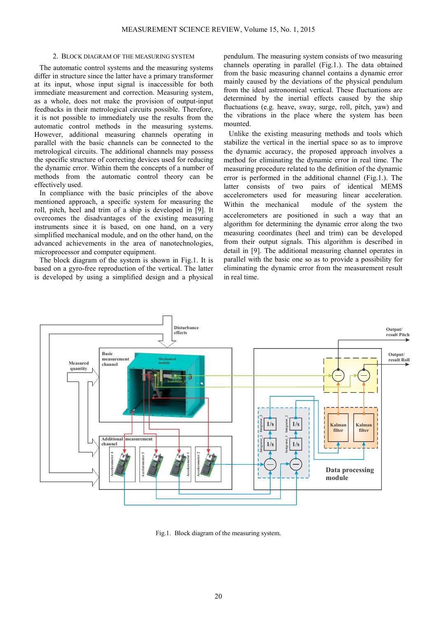## 2. BLOCK DIAGRAM OF THE MEASURING SYSTEM

The automatic control systems and the measuring systems differ in structure since the latter have a primary transformer at its input, whose input signal is inaccessible for both immediate measurement and correction. Measuring system, as a whole, does not make the provision of output-input feedbacks in their metrological circuits possible. Therefore, it is not possible to immediately use the results from the automatic control methods in the measuring systems. However, additional measuring channels operating in parallel with the basic channels can be connected to the metrological circuits. The additional channels may possess the specific structure of correcting devices used for reducing the dynamic error. Within them the concepts of a number of methods from the automatic control theory can be effectively used.

In compliance with the basic principles of the above mentioned approach, a specific system for measuring the roll, pitch, heel and trim of a ship is developed in [9]. It overcomes the disadvantages of the existing measuring instruments since it is based, on one hand, on a very simplified mechanical module, and on the other hand, on the advanced achievements in the area of nanotechnologies, microprocessor and computer equipment.

The block diagram of the system is shown in Fig.1. It is based on a gyro-free reproduction of the vertical. The latter is developed by using a simplified design and a physical pendulum. The measuring system consists of two measuring channels operating in parallel (Fig.1.). The data obtained from the basic measuring channel contains a dynamic error mainly caused by the deviations of the physical pendulum from the ideal astronomical vertical. These fluctuations are determined by the inertial effects caused by the ship fluctuations (e.g. heave, sway, surge, roll, pitch, yaw) and the vibrations in the place where the system has been mounted.

Unlike the existing measuring methods and tools which stabilize the vertical in the inertial space so as to improve the dynamic accuracy, the proposed approach involves a method for eliminating the dynamic error in real time. The measuring procedure related to the definition of the dynamic error is performed in the additional channel (Fig.1.). The latter consists of two pairs of identical MEMS accelerometers used for measuring linear acceleration. Within the mechanical module of the system the accelerometers are positioned in such a way that an algorithm for determining the dynamic error along the two measuring coordinates (heel and trim) can be developed from their output signals. This algorithm is described in detail in [9]. The additional measuring channel operates in parallel with the basic one so as to provide a possibility for eliminating the dynamic error from the measurement result in real time.



Fig.1. Block diagram of the measuring system.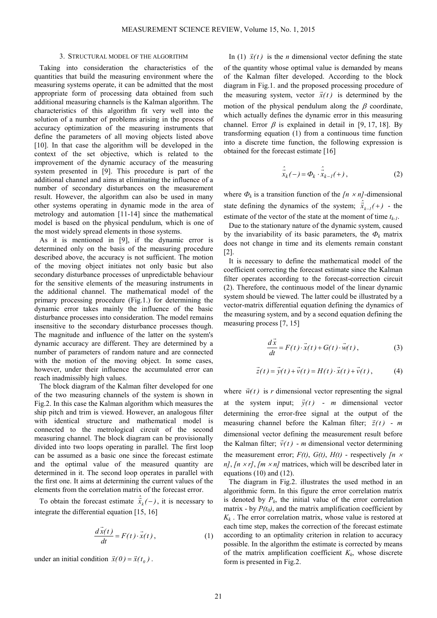## 3. STRUCTURAL MODEL OF THE ALGORITHM

Taking into consideration the characteristics of the quantities that build the measuring environment where the measuring systems operate, it can be admitted that the most appropriate form of processing data obtained from such additional measuring channels is the Kalman algorithm. The characteristics of this algorithm fit very well into the solution of a number of problems arising in the process of accuracy optimization of the measuring instruments that define the parameters of all moving objects listed above [10]. In that case the algorithm will be developed in the context of the set objective, which is related to the improvement of the dynamic accuracy of the measuring system presented in [9]. This procedure is part of the additional channel and aims at eliminating the influence of a number of secondary disturbances on the measurement result. However, the algorithm can also be used in many other systems operating in dynamic mode in the area of metrology and automation [11-14] since the mathematical model is based on the physical pendulum, which is one of the most widely spread elements in those systems.

As it is mentioned in [9], if the dynamic error is determined only on the basis of the measuring procedure described above, the accuracy is not sufficient. The motion of the moving object initiates not only basic but also secondary disturbance processes of unpredictable behaviour for the sensitive elements of the measuring instruments in the additional channel. The mathematical model of the primary processing procedure (Fig.1.) for determining the dynamic error takes mainly the influence of the basic disturbance processes into consideration. Тhe model remains insensitive to the secondary disturbance processes though. The magnitude and influence of the latter on the system's dynamic accuracy are different. They are determined by a number of parameters of random nature and are connected with the motion of the moving object. In some cases, however, under their influence the accumulated error can reach inadmissibly high values.

The block diagram of the Kalman filter developed for one of the two measuring channels of the system is shown in Fig.2. In this case the Kalman algorithm which measures the ship pitch and trim is viewed. However, an analogous filter with identical structure and mathematical model is connected to the metrological circuit of the second measuring channel. The block diagram can be provisionally divided into two loops operating in parallel. The first loop can be assumed as a basic one since the forecast estimate and the optimal value of the measured quantity are determined in it. The second loop operates in parallel with the first one. It aims at determining the current values of the elements from the correlation matrix of the forecast error.

To obtain the forecast estimate  $\hat{\vec{x}}_k(-)$ , it is necessary to integrate the differential equation [15, 16]

$$
\frac{d\vec{x}(t)}{dt} = F(t)\cdot \vec{x}(t),
$$
\n(1)

under an initial condition  $\vec{x}(0) = \vec{x}(t_0)$  $\vec{x}(0) = \vec{x}(t_0)$ .

 $\ln{(1)} \; \vec{x}(t)$  $\overline{a}$  is the *n* dimensional vector defining the state of the quantity whose optimal value is demanded by means of the Kalman filter developed. According to the block diagram in Fig.1. and the proposed processing procedure of the measuring system, vector  $\vec{x}(t)$  is determined by the motion of the physical pendulum along the  $\beta$  coordinate, which actually defines the dynamic error in this measuring channel. Error  $\beta$  is explained in detail in [9, 17, 18]. By transforming equation (1) from a continuous time function into a discrete time function, the following expression is obtained for the forecast estimate [16]

$$
\hat{\vec{x}}_k(-) = \Phi_k \cdot \hat{\vec{x}}_{k-l}(+) ,
$$
 (2)

where  $\Phi_k$  is a transition function of the  $[n \times n]$ -dimensional state defining the dynamics of the system;  $\hat{\vec{x}}_{k-1}(+)$  - the estimate of the vector of the state at the moment of time *tk-1*.

Due to the stationary nature of the dynamic system, caused by the invariability of its basic parameters, the  $\Phi_k$  matrix does not change in time and its elements remain constant [2].

It is necessary to define the mathematical model of the coefficient correcting the forecast estimate since the Kalman filter operates according to the forecast-correction circuit (2). Therefore, the continuous model of the linear dynamic system should be viewed. The latter could be illustrated by a vector-matrix differential equation defining the dynamics of the measuring system, and by a second equation defining the measuring process [7, 15]

$$
\frac{d\vec{x}}{dt} = F(t)\cdot\vec{x}(t) + G(t)\cdot\vec{w}(t),
$$
\n(3)

$$
\vec{z}(t) = \vec{y}(t) + \vec{v}(t) = H(t) \cdot \vec{x}(t) + \vec{v}(t),
$$
 (4)

where  $\vec{w}(t)$  $\overline{a}$  is *r* dimensional vector representing the signal at the system input;  $\vec{y}(t)$  $\overline{a}$  - *m* dimensional vector determining the error-free signal at the output of the  $\frac{1}{2}$ measuring channel before the Kalman filter;  $\vec{z}(t)$  - *m* dimensional vector defining the measurement result before the Kalman filter;  $\vec{v}(t)$  - *m* dimensional vector determining the measurement error;  $F(t)$ ,  $G(t)$ ,  $H(t)$  - respectively  $\int n \times$  $n$ ,  $[n \times r]$ ,  $[m \times n]$  matrices, which will be described later in equations (10) and (12).

The diagram in Fig.2. illustrates the used method in an algorithmic form. In this figure the error correlation matrix is denoted by  $P_k$ , the initial value of the error correlation matrix - by  $P(t_0)$ , and the matrix amplification coefficient by  $K_k$ . The error correlation matrix, whose value is restored at each time step, makes the correction of the forecast estimate according to an optimality criterion in relation to accuracy possible. In the algorithm the estimate is corrected by means of the matrix amplification coefficient  $K_k$ , whose discrete form is presented in Fig.2.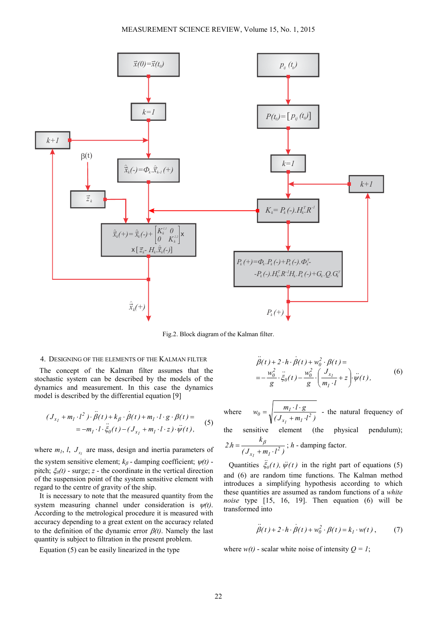

Fig.2. Block diagram of the Kalman filter.

# 4. DESIGNING OF THE ELEMENTS OF THE KALMAN FILTER

The concept of the Kalman filter assumes that the stochastic system can be described by the models of the dynamics and measurement. In this case the dynamics model is described by the differential equation [9]

$$
(J_{x_1} + m_l \cdot l^2) \cdot \ddot{\beta}(t) + k_\beta \cdot \dot{\beta}(t) + m_l \cdot l \cdot g \cdot \beta(t) =
$$
  
=  $-m_l \cdot l \cdot \ddot{\xi}_0(t) - (J_{x_1} + m_l \cdot l \cdot z) \cdot \ddot{\psi}(t),$  (5)

where  $m_l$ ,  $l$ ,  $J_{x_l}$  are mass, design and inertia parameters of the system sensitive element;  $k_{\beta}$  - damping coefficient;  $\psi(t)$  pitch;  $\xi_0(t)$  - surge; *z* - the coordinate in the vertical direction of the suspension point of the system sensitive element with regard to the centre of gravity of the ship.

It is necessary to note that the measured quantity from the system measuring channel under consideration is ψ*(t)*. According to the metrological procedure it is measured with accuracy depending to a great extent on the accuracy related to the definition of the dynamic error  $\beta(t)$ . Namely the last quantity is subject to filtration in the present problem.

Equation (5) can be easily linearized in the type

$$
\ddot{\beta}(t) + 2 \cdot h \cdot \dot{\beta}(t) + w_0^2 \cdot \beta(t) =
$$
\n
$$
= -\frac{w_0^2}{g} \cdot \ddot{\xi}_0(t) - \frac{w_0^2}{g} \cdot \left(\frac{J_{x_1}}{m_1 \cdot l} + z\right) \ddot{\psi}(t),
$$
\n(6)

where  $(J_{x_1} + m_l \cdot l^2)$  $w_0 = \sqrt{\frac{m_1 \cdot l \cdot g}{(J_{x_1} + m_1 \cdot l^2)}}$  $v_0 = \sqrt{\frac{m_l}{\epsilon I}}$  $n_l + m_l$ .  $=\sqrt{\frac{m_l \cdot l \cdot g}{m_l \cdot l \cdot g}}$  - the natural frequency of

the sensitive element (the physical pendulum);

$$
2.h = \frac{k_{\beta}}{(J_{x_1} + m_1 \cdot l^2)}; h \text{ - damping factor.}
$$

Quantities  $\ddot{\xi}_0(t)$ ,  $\ddot{\psi}(t)$  in the right part of equations (5) and (6) are random time functions. The Kalman method introduces a simplifying hypothesis according to which these quantities are assumed as random functions of a *white noise* type [15, 16, 19]. Then equation (6) will be transformed into

$$
\ddot{\beta}(t) + 2 \cdot h \cdot \dot{\beta}(t) + w_0^2 \cdot \beta(t) = k_1 \cdot w(t) , \qquad (7)
$$

where  $w(t)$  - scalar white noise of intensity  $Q = I$ ;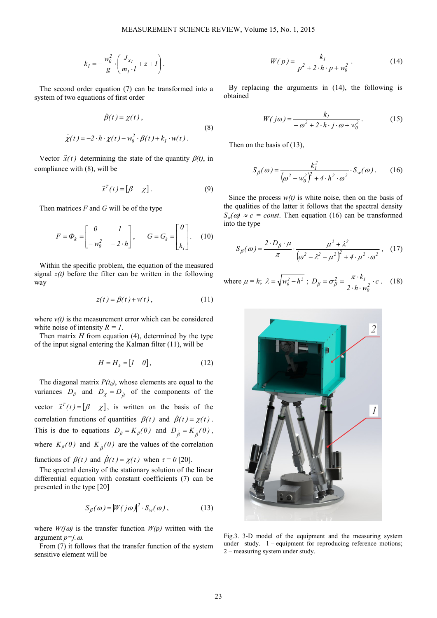(8)

$$
k_I = -\frac{w_0^2}{g} \cdot \left(\frac{J_{x_I}}{m_I \cdot l} + z + I\right).
$$

The second order equation (7) can be transformed into a system of two equations of first order

$$
\dot{\beta}(t) = \chi(t) ,
$$

$$
\dot{\chi}(t) = -2 \cdot h \cdot \chi(t) - w_0^2 \cdot \beta(t) + k_1 \cdot w(t).
$$

Vector  $\vec{x}(t)$  $\vec{x}(t)$  determining the state of the quantity  $\beta(t)$ , in compliance with (8), will be

$$
\vec{x}^T(t) = [\beta \quad \chi]. \tag{9}
$$

Then matrices *F* and *G* will be of the type

$$
F = \Phi_k = \begin{bmatrix} 0 & 1 \\ -w_0^2 & -2 \cdot h \end{bmatrix}, \qquad G = G_k = \begin{bmatrix} 0 \\ k_i \end{bmatrix}. \tag{10}
$$

Within the specific problem, the equation of the measured signal  $z(t)$  before the filter can be written in the following way

$$
z(t) = \beta(t) + v(t), \qquad (11)
$$

where  $v(t)$  is the measurement error which can be considered white noise of intensity  $R = 1$ .

Then matrix *H* from equation (4), determined by the type of the input signal entering the Kalman filter (11), will be

$$
H = H_k = [I \quad 0],\tag{12}
$$

The diagonal matrix  $P(t_0)$ , whose elements are equal to the variances  $D_{\beta}$  and  $D_{\chi} = D_{\beta}$  of the components of the vector  $\vec{x}^T(t) = [\beta \quad \chi]$ , is written on the basis of the correlation functions of quantities  $\beta(t)$  and  $\dot{\beta}(t) = \chi(t)$ . This is due to equations  $D_{\beta} = K_{\beta}(0)$  and  $D_{\beta} = K_{\beta}(0)$ , where  $K_{\beta}(0)$  and  $K_{\dot{\beta}}(0)$  are the values of the correlation functions of  $\beta(t)$  and  $\dot{\beta}(t) = \chi(t)$  when  $\tau = 0$  [20].

The spectral density of the stationary solution of the linear differential equation with constant coefficients (7) can be presented in the type [20]

$$
S_{\beta}(\omega) = |W(j\omega)|^2 \cdot S_w(\omega), \qquad (13)
$$

where  $W(j\omega)$  is the transfer function  $W(p)$  written with the argument *p=j.*ω.

From (7) it follows that the transfer function of the system sensitive element will be

$$
W(p) = \frac{k_1}{p^2 + 2 \cdot h \cdot p + w_0^2} \,. \tag{14}
$$

By replacing the arguments in (14), the following is obtained

$$
W(j\omega) = \frac{k_1}{-\omega^2 + 2 \cdot h \cdot j \cdot \omega + w_0^2}.
$$
 (15)

Then on the basis of  $(13)$ ,

$$
S_{\beta}(\omega) = \frac{k_1^2}{\left(\omega^2 - w_0^2\right)^2 + 4 \cdot h^2 \cdot \omega^2} \cdot S_w(\omega). \tag{16}
$$

Since the process  $w(t)$  is white noise, then on the basis of the qualities of the latter it follows that the spectral density  $S_w(\omega) \approx c = const.$  Then equation (16) can be transformed into the type

$$
S_{\beta}(\omega) = \frac{2 \cdot D_{\beta} \cdot \mu}{\pi} \cdot \frac{\mu^2 + \lambda^2}{(\omega^2 - \lambda^2 - \mu^2)^2 + 4 \cdot \mu^2 \cdot \omega^2},
$$
 (17)

where 
$$
\mu = h
$$
;  $\lambda = \sqrt{w_0^2 - h^2}$ ;  $D_\beta = \sigma_\beta^2 = \frac{\pi \cdot k_I}{2 \cdot h \cdot w_0^2} \cdot c$ . (18)



Fig.3. 3-D model of the equipment and the measuring system under study.  $1 -$  equipment for reproducing reference motions; 2 – measuring system under study.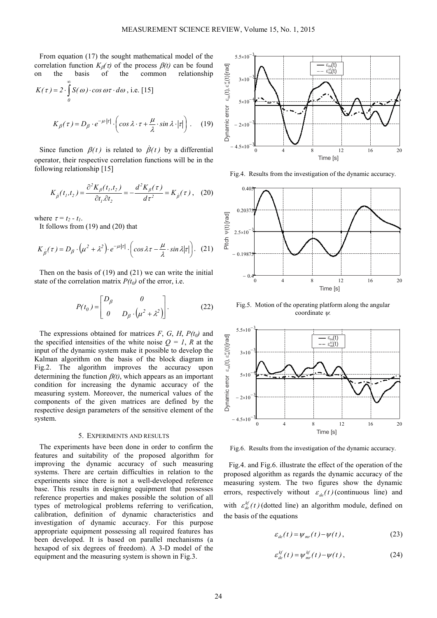From equation (17) the sought mathematical model of the correlation function  $K_\beta(\tau)$  of the process  $\beta(t)$  can be found on the basis of the common relationship ∞

$$
K(\tau) = 2 \cdot \int_{0}^{T} S(\omega) \cdot \cos \omega \tau \cdot d\omega, \text{ i.e. } [15]
$$
  

$$
K_{\beta}(\tau) = D_{\beta} \cdot e^{-\mu |\tau|} \cdot \left( \cos \lambda \cdot \tau + \frac{\mu}{\lambda} \cdot \sin \lambda \cdot |\tau| \right). \quad (19)
$$

Since function  $\beta(t)$  is related to  $\dot{\beta}(t)$  by a differential operator, their respective correlation functions will be in the following relationship [15]

$$
K_{\hat{\beta}}(t_1, t_2) = \frac{\partial^2 K_{\beta}(t_1, t_2)}{\partial t_1 \partial t_2} = -\frac{d^2 K_{\beta}(\tau)}{d\tau^2} = K_{\hat{\beta}}(\tau), \quad (20)
$$

where  $\tau = t_2 - t_1$ .

It follows from (19) and (20) that

$$
K_{\dot{\beta}}(\tau) = D_{\beta} \cdot \left(\mu^2 + \lambda^2\right) \cdot e^{-\mu|\tau|} \cdot \left(\cos \lambda \tau - \frac{\mu}{\lambda} \cdot \sin \lambda |\tau|\right). \tag{21}
$$

Then on the basis of (19) and (21) we can write the initial state of the correlation matrix  $P(t_0)$  of the error, i.e.

$$
P(t_0) = \begin{bmatrix} D_\beta & 0 \\ 0 & D_\beta \cdot (\mu^2 + \lambda^2) \end{bmatrix}.
$$
 (22)

The expressions obtained for matrices *F*, *G*, *H*, *P(t0)* and the specified intensities of the white noise  $Q = I$ , R at the input of the dynamic system make it possible to develop the Kalman algorithm on the basis of the block diagram in Fig.2. The algorithm improves the accuracy upon determining the function  $\beta(t)$ , which appears as an important condition for increasing the dynamic accuracy of the measuring system. Moreover, the numerical values of the components of the given matrices are defined by the respective design parameters of the sensitive element of the system.

#### 5. EXPERIMENTS AND RESULTS

The experiments have been done in order to confirm the features and suitability of the proposed algorithm for improving the dynamic accuracy of such measuring systems. There are certain difficulties in relation to the experiments since there is not a well-developed reference base. This results in designing equipment that possesses reference properties and makes possible the solution of all types of metrological problems referring to verification, calibration, definition of dynamic characteristics and investigation of dynamic accuracy. For this purpose appropriate equipment possessing all required features has been developed. It is based on parallel mechanisms (a hexapod of six degrees of freedom). A 3-D model of the equipment and the measuring system is shown in Fig.3.



Fig.4. Results from the investigation of the dynamic accuracy.



Fig.5. Motion of the operating platform along the angular coordinate ψ*.* 



Fig.6. Results from the investigation of the dynamic accuracy.

Fig.4. and Fig.6. illustrate the effect of the operation of the proposed algorithm as regards the dynamic accuracy of the measuring system. The two figures show the dynamic errors, respectively without  $\varepsilon_{de}(t)$  (continuous line) and with  $\varepsilon_{de}^{kf}(t)$  (dotted line) an algorithm module, defined on the basis of the equations

$$
\varepsilon_{de}(t) = \psi_{mr}(t) - \psi(t), \qquad (23)
$$

$$
\varepsilon_{de}^{kf}(t) = \psi_{mr}^{kf}(t) - \psi(t), \qquad (24)
$$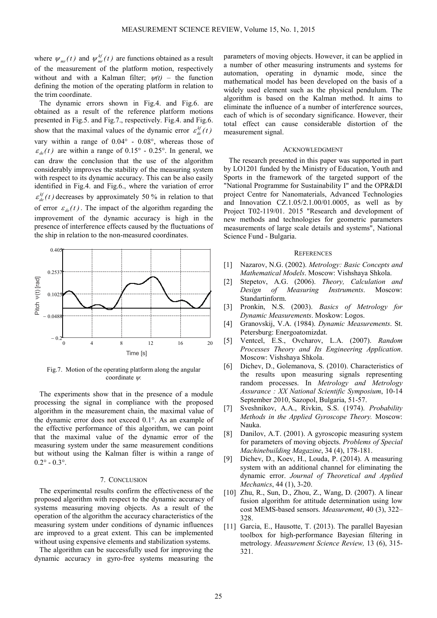where  $\psi_{mr}(t)$  and  $\psi_{mr}^{kf}(t)$  are functions obtained as a result of the measurement of the platform motion, respectively without and with a Kalman filter;  $\psi(t)$  – the function defining the motion of the operating platform in relation to the trim coordinate.

The dynamic errors shown in Fig.4. and Fig.6. are obtained as a result of the reference platform motions presented in Fig.5. and Fig.7., respectively. Fig.4. and Fig.6. show that the maximal values of the dynamic error  $\varepsilon_{de}^{kf}(t)$ vary within a range of 0.04° - 0.08°, whereas those of  $\varepsilon_{de}(t)$  are within a range of 0.15° - 0.25°. In general, we can draw the conclusion that the use of the algorithm considerably improves the stability of the measuring system with respect to its dynamic accuracy. This can be also easily identified in Fig.4. and Fig.6., where the variation of error  $\varepsilon_{de}^{kf}(t)$  decreases by approximately 50 % in relation to that of error  $\varepsilon_{de}(t)$ . The impact of the algorithm regarding the improvement of the dynamic accuracy is high in the presence of interference effects caused by the fluctuations of the ship in relation to the non-measured coordinates.



Fig.7. Motion of the operating platform along the angular coordinate ψ*.*

The experiments show that in the presence of a module processing the signal in compliance with the proposed algorithm in the measurement chain, the maximal value of the dynamic error does not exceed 0.1°. As an example of the effective performance of this algorithm, we can point that the maximal value of the dynamic error of the measuring system under the same measurement conditions but without using the Kalman filter is within a range of  $0.2^{\circ}$  -  $0.3^{\circ}$ .

# 7. CONCLUSION

The experimental results confirm the effectiveness of the proposed algorithm with respect to the dynamic accuracy of systems measuring moving objects. As a result of the operation of the algorithm the accuracy characteristics of the measuring system under conditions of dynamic influences are improved to a great extent. This can be implemented without using expensive elements and stabilization systems.

The algorithm can be successfully used for improving the dynamic accuracy in gyro-free systems measuring the

parameters of moving objects. However, it can be applied in a number of other measuring instruments and systems for automation, operating in dynamic mode, since the mathematical model has been developed on the basis of a widely used element such as the physical pendulum. The algorithm is based on the Kalman method. It aims to eliminate the influence of a number of interference sources, each of which is of secondary significance. However, their total effect can cause considerable distortion of the measurement signal.

## ACKNOWLEDGMENT

The research presented in this paper was supported in part by LO1201 funded by the Ministry of Education, Youth and Sports in the framework of the targeted support of the "National Programme for Sustainability I" and the OPR&DI project Centre for Nanomaterials, Advanced Technologies and Innovation CZ.1.05/2.1.00/01.0005, as well as by Project Т02-119/01. 2015 "Research and development of new methods and technologies for geometric parameters measurements of large scale details and systems", National Science Fund - Bulgaria.

### **REFERENCES**

- [1] Nazarov, N.G. (2002). *Metrology: Basic Concepts and Mathematical Models*. Moscow: Vishshaya Shkola.
- [2] Stepetov, A.G. (2006). *Theory, Calculation and Design of Measuring Instruments*. Moscow: Standartinform.
- [3] Pronkin, N.S. (2003). *Basics of Metrology for Dynamic Measurements*. Moskow: Logos.
- [4] Granovskij, V.А. (1984). *Dynamic Measurements*. St. Petersburg: Energoatomizdat.
- [5] Ventcel, E.S., Ovcharov, L.A. (2007). *Random Processes Theory and Its Engineering Application*. Moscow: Vishshaya Shkola.
- [6] Dichev, D., Golemanova, S. (2010). Characteristics of the results upon measuring signals representing random processes. In *Metrology and Metrology Assurance : XX National Scientific Symposium*, 10-14 September 2010, Sazopol, Bulgaria, 51-57.
- [7] Sveshnikov, A.A., Rivkin, S.S. (1974). *Probability Methods in the Applied Gyroscope Theory.* Moscow: Nauka.
- [8] Danilov, A.T. (2001). A gyroscopic measuring system for parameters of moving objects. *Problems of Special Machinebuilding Magazine*, 34 (4), 178-181.
- [9] Dichev, D., Koev, H., Louda, P. (2014). A measuring system with an additional channel for eliminating the dynamic error. *Journal of Theoretical and Applied Mechanics*, 44 (1), 3-20.
- [10] Zhu, R., Sun, D., Zhou, Z., Wang, D. (2007). A linear fusion algorithm for attitude determination using low cost MEMS-based sensors. *Measurement*, 40 (3), 322– 328.
- [11] Garcia, E., Hausotte, T. (2013). The parallel Bayesian toolbox for high-performance Bayesian filtering in metrology. *Measurement Science Review,* 13 (6), 315- 321.